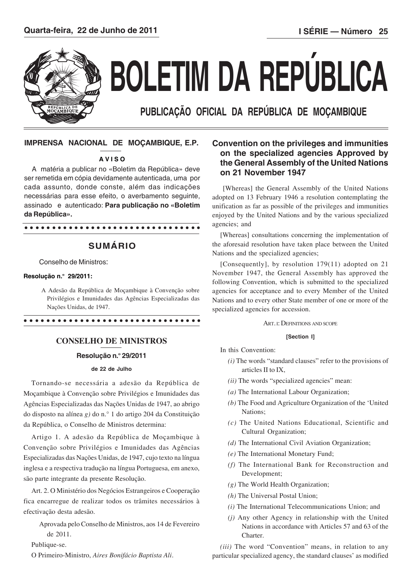# **Quarta-feira, 22 de Junho de 2011 I SÉRIE — Número 25**



# **BOLETIM DA REPÚBLICA**

**PUBLICAÇÃO OFICIAL DA REPÚBLICA DE MOÇAMBIQUE**

# **IMPRENSA NACIONAL DE MOÇAMBIQUE, E.P.**

# **A V I S O**

A matéria a publicar no «Boletim da República» deve ser remetida em cópia devidamente autenticada, uma por cada assunto, donde conste, além das indicações necessárias para esse efeito, o averbamento seguinte, assinado e autenticado: **Para publicação no «Boletim da República».**

# **SUMÁRIO**

○○○○○○○○○○○○○○○○○○○○○○○○○○○○○○○○

Conselho de Ministros:

# **Resolução n.º 29/2011:**

A Adesão da República de Moçambique à Convenção sobre Privilégios e Imunidades das Agências Especializadas das Nações Unidas, de 1947.

○○○○○○○○○○○○ ○○○○○○○○○○○○○○○○○○○○

# **CONSELHO DE MINISTROS**

# **Resolução n.º 29/2011**

# **de 22 de Julho**

Tornando-se necessária a adesão da República de Moçambique à Convenção sobre Privilégios e Imunidades das Agências Especializadas das Nações Unidas de 1947, ao abrigo do disposto na alínea *g)* do n.° 1 do artigo 204 da Constituição da República, o Conselho de Ministros determina:

Artigo 1. A adesão da República de Moçambique à Convenção sobre Privilégios e Imunidades das Agências Especializadas das Nações Unidas, de 1947, cujo texto na língua inglesa e a respectiva tradução na língua Portuguesa, em anexo, são parte integrante da presente Resolução.

Art. 2. O Ministério dos Negócios Estrangeiros e Cooperação fica encarregue de realizar todos os trâmites necessários à efectivação desta adesão.

Aprovada pelo Conselho de Ministros, aos 14 de Fevereiro de 2011.

Publique-se.

O Primeiro-Ministro, *Aires Bonifácio Baptista Ali*.

# **Convention on the privileges and immunities on the specialized agencies Approved by the General Assembly of the United Nations on 21 November 1947**

 [Whereas] the General Assembly of the United Nations adopted on 13 February 1946 a resolution contemplating the unification as far as possible of the privileges and immunities enjoyed by the United Nations and by the various specialized agencies; and

[Whereas] consultations concerning the implementation of the aforesaid resolution have taken place between the United Nations and the specialized agencies;

[Consequently], by resolution 179(11) adopted on 21 November 1947, the General Assembly has approved the following Convention, which is submitted to the specialized agencies for acceptance and to every Member of the United Nations and to every other State member of one or more of the specialized agencies for accession.

# ART. I: DEFINITIONS AND SCOPE

# **[Section I]**

In this Convention:

- *(i)* The words "standard clauses" refer to the provisions of articles II to IX,
- *(ii)* The words "specialized agencies" mean:
- *(a)* The International Labour Organization;
- *(b)* The Food and Agriculture Organization of the 'United Nations;
- *(c)* The United Nations Educational, Scientific and Cultural Organization;
- *(d)* The International Civil Aviation Organization;
- *(e)* The International Monetary Fund;
- *(f)* The International Bank for Reconstruction and Development;
- *(g)* The World Health Organization;
- *(h)* The Universal Postal Union;
- *(i)* The International Telecommunications Union; and
- *(j)* Any other Agency in relationship with the United Nations in accordance with Articles 57 and 63 of the Charter.

*(iii)* The word "Convention" means, in relation to any particular specialized agency, the standard clauses' as modified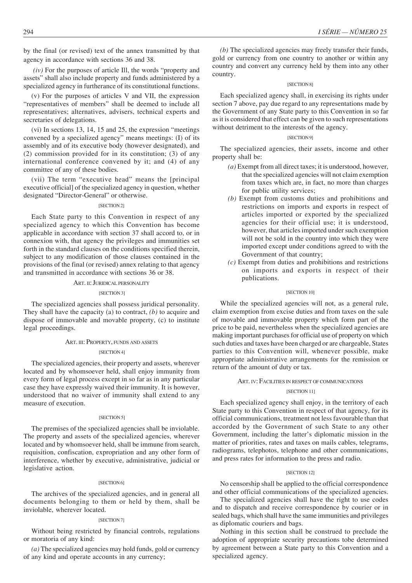by the final (or revised) text of the annex transmitted by that agency in accordance with sections 36 and 38.

 *(iv)* For the purposes of article Ill, the words "property and assets" shall also include property and funds administered by a specialized agency in furtherance of its constitutional functions.

(v) For the purposes of articles V and VII, the expression "representatives of members" shall be deemed to include all representatives; alternatives, advisers, technical experts and secretaries of delegations.

(vi) In sections 13, 14, 15 and 25, the expression "meetings convened by a specialized agency" means meetings: (I) of its assembly and of its executive body (however designated), and (2) commission provided for in its constitution; (3) of any international conference convened by it; and (4) of any committee of any of these bodies.

(vii) The term "executive head" means the [principal executive official] of the specialized agency in question, whether designated "Director-General" or otherwise.

# [SECTION 2]

Each State party to this Convention in respect of any specialized agency to which this Convention has become applicable in accordance with section 37 shall accord to, or in connexion with, that agency the privileges and immunities set forth in the standard clauses on the conditions specified therein, subject to any modification of those clauses contained in the provisions of the final (or revised) annex relating to that agency and transmitted in accordance with sections 36 or 38.

# ART. II: JURIDICAL PERSONALITY

# [SECTION 3]

The specialized agencies shall possess juridical personality. They shall have the capacity (a) to contract, *(b)* to acquire and dispose of immovable and movable property, (c) to institute legal proceedings.

#### ART. III: PROPERTY, FUNDS AND ASSETS

# [SECTION 4]

The specialized agencies, their property and assets, wherever located and by whomsoever held, shall enjoy immunity from every form of legal process except in so far as in any particular case they have expressly waived their immunity. It is however, understood that no waiver of immunity shall extend to any measure of execution.

## [SECTION 5]

The premises of the specialized agencies shall be inviolable. The property and assets of the specialized agencies, wherever located and by whomsoever held, shall be immune from search, requisition, confiscation, expropriation and any other form of interference, whether by executive, administrative, judicial or legislative action.

# [SECTION 6]

The archives of the specialized agencies, and in general all documents belonging to them or held by them, shall be inviolable, wherever located.

# [SECTION 7]

Without being restricted by financial controls, regulations or moratoria of any kind:

*(a)* The specialized agencies may hold funds, gold or currency of any kind and operate accounts in any currency;

*(b)* The specialized agencies may freely transfer their funds, gold or currency from one country to another or within any country and convert any currency held by them into any other country.

## [SECTION 8]

Each specialized agency shall, in exercising its rights under section 7 above, pay due regard to any representations made by the Government of any State party to this Convention in so far as it is considered that effect can be given to such representations without detriment to the interests of the agency.

#### [SECTION 9]

The specialized agencies, their assets, income and other property shall be:

- *(a)* Exempt from all direct taxes; it is understood, however, that the specialized agencies will not claim exemption from taxes which are, in fact, no more than charges for public utility services;
- *(b)* Exempt from customs duties and prohibitions and restrictions on imports and exports in respect of articles imported or exported by the specialized agencies for their official use; it is understood, however, that articles imported under such exemption will not be sold in the country into which they were imported except under conditions agreed to with the Government of that country;
- *(c)* Exempt from duties and prohibitions and restrictions on imports and exports in respect of their publications.

# [SECTION 10]

While the specialized agencies will not, as a general rule, claim exemption from excise duties and from taxes on the sale of movable and immovable property which form part of the price to be paid, nevertheless when the specialized agencies are making important purchases for official use of property on which such duties and taxes have been charged or are chargeable, States parties to this Convention will, whenever possible, make appropriate administrative arrangements for the remission or return of the amount of duty or tax.

# ART. IV: FACILITIES IN RESPECT OF COMMUNICATIONS

# **ISECTION 111**

Each specialized agency shall enjoy, in the territory of each State party to this Convention in respect of that agency, for its official communications, treatment not less favourable than that accorded by the Government of such State to any other Government, including the latter's diplomatic mission in the matter of priorities, rates and taxes on mails cables, telegrams, radiograms, telephotos, telephone and other communications, and press rates for information to the press and radio.

## [SECTION 12]

No censorship shall be applied to the official correspondence and other official communications of the specialized agencies.

The specialized agencies shall have the right to use codes and to dispatch and receive correspondence by courier or in sealed bags, which shall have the same immunities and privileges as diplomatic couriers and bags.

Nothing in this section shall be construed to preclude the adoption of appropriate security precautions tobe determined by agreement between a State party to this Convention and a specialized agency.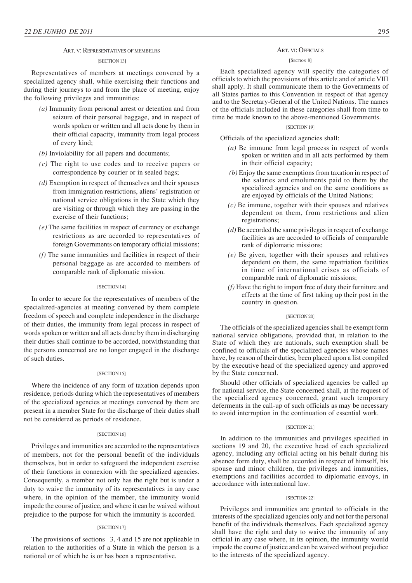# ART. V: REPRESENTATIVES OF MEMBELRS

# [SECTION 13]

Representatives of members at meetings convened by a specialized agency shall, while exercising their functions and during their journeys to and from the place of meeting, enjoy the following privileges and immunities:

- *(a)* Immunity from personal arrest or detention and from seizure of their personal baggage, and in respect of words spoken or written and all acts done by them in their official capacity, immunity from legal process of every kind;
- *(b)* Inviolability for all papers and documents;
- *(c)* The right to use codes and to receive papers or correspondence by courier or in sealed bags;
- *(d)* Exemption in respect of themselves and their spouses from immigration restrictions, aliens' registration or national service obligations in the State which they are visiting or through which they are passing in the exercise of their functions;
- *(e)* The same facilities in respect of currency or exchange restrictions as arc accorded to representatives of foreign Governments on temporary official missions;
- *(f)* The same immunities and facilities in respect of their personal baggage as are accorded to members of comparable rank of diplomatic mission.

## [SECTION 14]

In order to secure for the representatives of members of the specialized-agencies at meeting convened by them complete freedom of speech and complete independence in the discharge of their duties, the immunity from legal process in respect of words spoken or written and all acts done by them in discharging their duties shall continue to be accorded, notwithstanding that the persons concerned are no longer engaged in the discharge of such duties.

## [SECTION 15]

Where the incidence of any form of taxation depends upon residence, periods during which the representatives of members of the specialized agencies at meetings convened by them are present in a member State for the discharge of their duties shall not be considered as periods of residence.

# [SECTION 16]

Privileges and immunities are accorded to the representatives of members, not for the personal benefit of the individuals themselves, but in order to safeguard the independent exercise of their functions in connexion with the specialized agencies. Consequently, a member not only has the right but is under a duty to waive the immunity of its representatives in any case where, in the opinion of the member, the immunity would impede the course of justice, and where it can be waived without prejudice to the purpose for which the immunity is accorded.

# [SECTION 17]

The provisions of sections 3, 4 and 15 are not applieable in relation to the authorities of a State in which the person is a national or of which he is or has been a representative.

# ART. VI: OFFICIALS

# [SECTION 8]

Each specialized agency will specify the categories of officials to which the provisions of this article and of article VIII shall apply. It shall communicate them to the Governments of all States parties to this Convention in respect of that agency and to the Secretary-General of the United Nations. The names of the officials included in these categories shall from time to time be made known to the above-mentioned Governments.

# [SECTION 19]

Officials of the specialized agencies shall:

- *(a)* Be immune from legal process in respect of words spoken or written and in all acts performed by them in their official capacity;
- *(b)* Enjoy the same exemptions from taxation in respect of the salaries and emoluments paid to them by the specialized agencies and on the same conditions as are enjoyed by officials of the United Nations;
- *(c)* Be immune, together with their spouses and relatives dependent on thcm, from restrictions and alien registrations;
- *(d)* Be accorded the same privileges in respect of exchange facilities as are accorded to officials of comparable rank of diplomatic missions;
- *(e)* Be given, together with their spouses and relatives dependent on them, the same repatriation facilities in time of international crises as officials of comparable rank of diplomatic missions;
- *(f)* Have the right to import free of duty their furniture and effects at the time of first taking up their post in the country in question.

#### [SECTION 20]

The officials of the specialized agencies shall be exempt form national service obligations, provided that, in relation to the State of which they are nationals, such exemption shall be confined to officials of the specialized agencies whose names have, by reason of their duties, been placed upon a list compiled by the executive head of the specialized agency and approved by the State concerned.

Should other officials of specialized agencies be called up for national service, the State concerned shall, at the request of the specialized agency concerned, grant such temporary deferments in the call-up of such officials as may be necessary to avoid interruption in the continuation of essential work.

# [SECTION 21]

In addition to the immunities and privileges specified in sections 19 and 20, the executive head of each specialized agency, including any official acting on his behalf during his absence form duty, shall be accorded in respect of himself, his spouse and minor children, the privileges and immunities, exemptions and facilities accorded to diplomatic envoys, in accordance with international law.

#### [SECTION 22]

Privileges and immunities are granted to officials in the interests of the specialized agencies only and not for the personal benefit of the individuals themselves. Each specialized agency shall have the right and duty to waive the immunity of any official in any case where, in its opinion, the immunity would impede the course of justice and can be waived without prejudice to the interests of the specialized agency.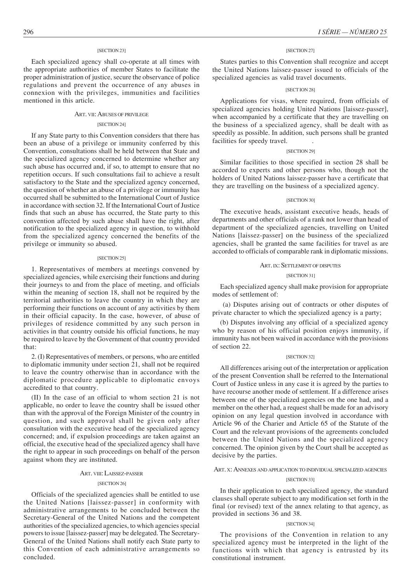### [SECTION 23]

Each specialized agency shall co-operate at all times with the appropriate authorities of member States to facilitate the proper administration of justice, secure the observance of police regulations and prevent the occurrence of any abuses in connexion with the privileges, immunities and facilities mentioned in this article.

#### ART. VII: ABUSES OF PRIVILEGE

## [SECTION 24]

If any State party to this Convention considers that there has been an abuse of a privilege or immunity conferred by this Convention, consultations shall be held between that State and the specialized agency concerned to determine whether any such abuse has occurred and, if so, to attempt to ensure that no repetition occurs. If such consultations fail to achieve a result satisfactory to the State and the specialized agency concerned, the question of whether an abuse of a privilege or immunity has occurred shall be submitted to the International Court of Justice in accordance with section 32. If the International Court of Justice finds that such an abuse has occurred, the State party to this convention affected by such abuse shall have the right, after notification to the specialized agency in question, to withhold from the specialized agency concerned the benefits of the privilege or immunity so abused.

#### [SECTION 25]

1. Representatives of members at meetings convened by specialized agencies, while exercising their functions and during their journeys to and from the place of meeting, and officials within the meaning of section 18, shall not be required by the territorial authorities to leave the country in which they are performing their functions on account of any activities by them in their official capacity. In the case, however, of abuse of privileges of residence committed by any such person in activities in that country outside his official functions, he may be required to leave by the Government of that country provided that:

2. (I) Representatives of members, or persons, who are entitled to diplomatic immunity under section 21, shall not be required to leave the country otherwise than in accordance with the diplomatic procedure applicable to diplomatic envoys accredited to that country.

(II) In the case of an official to whom section 21 is not applicable, no order to leave the country shall be issued other than with the approval of the Foreign Minister of the country in question, and such approval shall be given only after consultation with the executive head of the specialized agency concerned; and, if expulsion proceedings are taken against an official, the executive head of the specialized agency shall have the right to appear in such proceedings on behalf of the person against whom they are instituted.

# ART. VIII: LAISSEZ-PASSER **ISECTION 261**

Officials of the specialized agencies shall be entitled to use the United Nations [laissez-passer] in conformity with administrative arrangements to be concluded between the Secretary-General of the United Nations and the competent authorities of the specialized agencies, to which agencies special powers to issue [laissez-passer] may be delegated. The Secretary-General of the United Nations shall notify each State party to this Convention of each administrative arrangements so concluded.

#### [SECTION 27]

States parties to this Convention shall recognize and accept the United Nations laissez-passer issued to officials of the specialized agencies as valid travel documents.

## [SECT ION 28]

Applications for visas, where required, from officials of specialized agencies holding United Nations [laissez-passer], when accompanied by a certificate that they are travelling on the business of a specialized agency, shall be dealt with as speedily as possible. In addition, such persons shall be granted facilities for speedy travel.

#### [SECTION 29]

Similar facilities to those specified in section 28 shall be accorded to experts and other persons who, though not the holders of United Nations laissez-passer have a certificate that they are travelling on the business of a specialized agency.

# [SECTION 30]

The executive heads, assistant executive heads, heads of departments and other officials of a rank not lower than head of department of the specialized agencies, travelling on United Nations [laissez-passer] on the business of the specialized agencies, shall be granted the same facilities for travel as are accorded to officials of comparable rank in diplomatic missions.

# ART. IX: SETTLEMENT OF DISPUTES

# [SECTION 31]

Each specialized agency shall make provision for appropriate modes of settlement of:

 (a) Disputes arising out of contracts or other disputes of private character to which the specialized agency is a party;

(b) Disputes involving any official of a specialized agency who by reason of his official position enjoys immunity, if immunity has not been waived in accordance with the provisions of section 22.

# [SECTION 32]

All differences arising out of the interpretation or application of the present Convention shall be referred to the International Court of Justice unless in any case it is agreed by the parties to have recourse another mode of settlement. If a difference arises between one of the specialized agencies on the one had, and a member on the other had, a request shall be made for an advisory opinion on any legal question involved in accordance with Article 96 of the Charier and Article 65 of the Statute of the Court and the relevant provisions of the agreements concluded between the United Nations and the specialized agency concerned. The opinion given by the Court shall be accepted as decisive by the parties.

#### ART. X: ANNEXES AND APPLICATION TO INDIVIDUAL SPECIALIZED AGENCIES

# [SECTION 33]

In their application to each specialized agency, the standard clauses shall operate subject to any modification set forth in the final (or revised) text of the annex relating to that agency, as provided in sections 36 and 38.

#### [SECTION 34]

The provisions of the Convention in relation to any specialized agency must be interpreted in the light of the functions with which that agency is entrusted by its constitutional instrument.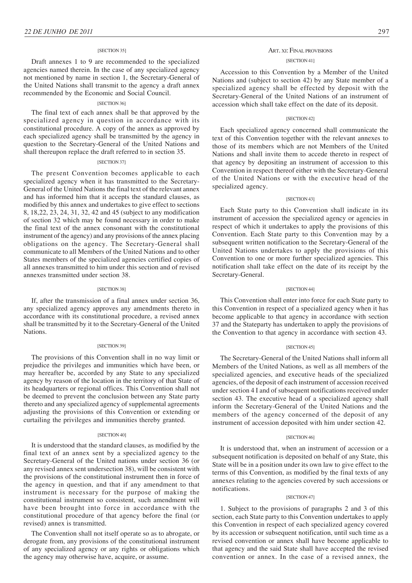#### [SECTION 35]

Draft annexes 1 to 9 are recommended to the specialized agencies named therein. In the case of any specialized agency not mentioned by name in section 1, the Secretary-General of the United Nations shall transmit to the agency a draft annex recommended by the Economic and Social Council.

#### [SECTION 36]

The final text of each annex shall be that approved by the specialized agency in question in accordance with its constitutional procedure. A copy of the annex as approved by each specialized agency shall be transmitted by the agency in question to the Secretary-General of the United Nations and shall thereupon replace the draft referred to in section 35.

#### [SECTION 37]

The present Convention becomes applicable to each specialized agency when it has transmitted to the Secretary-General of the United Nations the final text of the relevant annex and has informed him that it accepts the standard clauses, as modified by this annex and undertakes to give effect to sections 8, 18,22, 23, 24, 31, 32, 42 and 45 (subject to any modification of section 32 which may be found necessary in order to make the final text of the annex consonant with the constitutional instrument of the agency) and any provisions of the annex placing obligations on the agency. The Secretary-General shall communicate to all Members of the United Nations and to other States members of the specialized agencies certified copies of all annexes transmitted to him under this section and of revised annexes transmitted under section 38.

# [SECTION 38]

If, after the transmission of a final annex under section 36, any specialized agency approves any amendments thereto in accordance with its constitutional procedure, a revised annex shall be transmitted by it to the Secretary-General of the United Nations.

#### [SECTION 39]

The provisions of this Convention shall in no way limit or prejudice the privileges and immunities which have been, or may hereafter be, accorded by any State to any specialized agency by reason of the location in the territory of that State of its headquarters or regional offices. This Convention shall not be deemed to prevent the conclusion between any State party thereto and any specialized agency of supplemental agreements adjusting the provisions of this Convention or extending or curtailing the privileges and immunities thereby granted.

## [SECTION 40]

It is understood that the standard clauses, as modified by the final text of an annex sent by a specialized agency to the Secretary-General of the United nations under section 36 (or any revised annex sent undersection 38), will be consistent with the provisions of the constitutional instrument then in force of the agency in question, and that if any amendment to that instrument is necessary for the purpose of making the constitutional instrument so consistent, such amendment will have been brought into force in accordance with the constitutional procedure of that agency before the final (or revised) annex is transmitted.

The Convention shall not itself operate so as to abrogate, or derogate from, any provisions of the constitutional instrument of any specialized agency or any rights or obligations which the agency may otherwise have, acquire, or assume.

# ART. XI: FINAL PROVISIONS

# [SECTION 41]

Accession to this Convention by a Member of the United Nations and (subject to section 42) by any State member of a specialized agency shall be effected by deposit with the Secretary-General of the United Nations of an instrument of accession which shall take effect on the date of its deposit.

# [SECTION 42]

Each specialized agency concerned shall communicate the text of this Convention together with the relevant annexes to those of its members which are not Members of the United Nations and shall invite them to accede thereto in respect of that agency by depositing an instrument of accession to this Convention in respect thereof either with the Secretary-General of the United Nations or with the executive head of the specialized agency.

#### [SECTION 43]

Each State party to this Convention shall indicate in its instrument of accession the specialized agency or agencies in respect of which it undertakes to apply the provisions of this Convention. Each State party to this Convention may by a subsequent written notification to the Secretary-General of the United Nations undertakes to apply the provisions of this Convention to one or more further specialized agencies. This notification shall take effect on the date of its receipt by the Secretary-General.

#### [SECTION 44]

This Convention shall enter into force for each State party to this Convention in respect of a specialized agency when it has become applicable to that agency in accordance with section 37 and the Stateparty has undertaken to apply the provisions of the Convention to that agency in accordance with section 43.

#### [SECTION 45]

The Secretary-General of the United Nations shall inform all Members of the United Nations, as well as all members of the specialized agencies, and executive heads of the specialized agencies, of the deposit of each instrument of accession received under section 4 I and of subsequent notifications received under section 43. The executive head of a specialized agency shall inform the Secretary-General of the United Nations and the members of the agency concerned of the deposit of any instrument of accession deposited with him under section 42.

#### **[SECTION 46]**

It is understood that, when an instrument of accession or a subsequent notification is deposited on behalf of any State, this State will be in a position under its own law to give effect to the terms of this Convention, as modified by the final texts of any annexes relating to the agencies covered by such accessions or notifications.

#### [SECTION 47]

1. Subject to the provisions of paragraphs 2 and 3 of this section, each State party to this Convention undertakes to apply this Convention in respect of each specialized agency covered by its accession or subsequent notification, until such time as a revised convention or annex shall have become applicable to that agency and the said State shall have accepted the revised convention or annex. In the case of a revised annex, the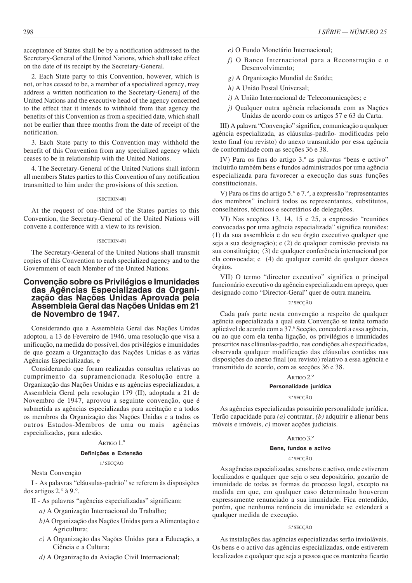acceptance of States shall be by a notification addressed to the Secretary-General of the United Nations, which shall take effect on the date of its receipt by the Secretary-General.

2. Each State party to this Convention, however, which is not, or has ceased to be, a member of a specialized agency, may address a written notification to the Secretary-Genera] of the United Nations and the executive head of the agency concerned to the effect that it intends to withhold from that agency the benefits of this Convention as from a specified date, which shall not be earlier than three months from the date of receipt of the notification.

3. Each State party to this Convention may withhold the benefit of this Convention from any specialized agency which ceases to be in relationship with the United Nations.

4. The Secretary-General of the United Nations shall inform all members States parties to this Convention of any notification transmitted to him under the provisions of this section.

# [SECTION 48]

At the request of one-third of the States parties to this Convention, the Secretary-General of the United Nations will convene a conference with a view to its revision.

## [SECTION 49]

The Secretary-General of the United Nations shall transmit copies of this Convention to each specialized agency and to the Government of each Member of the United Nations.

# **Convenção sobre os Privilégios e Imunidades das Agências Especializadas da Organização das Nações Unidas Aprovada pela Assembleia Geral das Nações Unidas em 21 de Novembro de 1947.**

Considerando que a Assembleia Geral das Nações Unidas adoptou, a 13 de Fevereiro de 1946, uma resolução que visa a unificação, na medida do possível, dos privilégios e imunidades de que gozam a Organização das Nações Unidas e as várias Agências Especializadas, e

Considerando que foram realizadas consultas relativas ao cumprimento da supramencionada Resolução entre a Organização das Nações Unidas e as agências especializadas, a Assembleia Geral pela resolução 179 (II), adoptada a 21 de Novembro de 1947, aprovou a seguinte convenção, que é submetida as agências especializadas para aceitação e a todos os membros da Organização das Nações Unidas e a todos os outros Estados-Membros de uma ou mais agências especializadas, para adesão.

# ARTIGO 1.º

## **Definições e Extensão**

1.ª SECÇÃO

Nesta Convenção

I - As palavras "cláusulas-padrão" se referem às disposições dos artigos 2.° à 9.°.

II - As palavras "agências especializadas" significam:

- *a)* A Organização Internacional do Trabalho;
- *b)*A Organização das Nações Unidas para a Alimentação e Agricultura;
- *c)* A Organização das Nações Unidas para a Educação, a Ciência e a Cultura;
- *d)* A Organização da Aviação Civil Internacional;
- *e)* O Fundo Monetário Internacional;
- *f)* O Banco Internacional para a Reconstrução e o Desenvolvimento;
- *g)* A Organização Mundial de Saúde;
- *h)* A União Postal Universal;
- *i)* A União Internacional de Telecomunicações; e
- *j)* Qualquer outra agência relacionada com as Nações Unidas de acordo com os artigos 57 e 63 da Carta.

III) A palavra "Convenção" significa, comunicação a qualquer agência especializada, as cláusulas-padrão- modificadas pelo texto final (ou revisto) do anexo transmitido por essa agência de conformidade com as secções 36 e 38.

IV) Para os fins do artigo 3.º as palavras "bens e activo" incluirão também bens e fundos administrados por uma agência especializada para favorecer a execução das suas funções constitucionais.

V) Para os fins do artigo 5.° e 7.°, a expressão "representantes dos membros" incluirá todos os representantes, substitutos, conselheiros, técnicos e secretários de delegações.

VI) Nas secções 13, 14, 15 e 25, a expressão "reuniões convocadas por uma agência especializada" significa reuniões: (1) da sua assembleia e do seu órgão executivo qualquer que seja a sua designação); e (2) de qualquer comissão prevista na sua constituição; (3) de qualquer conferência internacional por ela convocada; e (4) de qualquer comité de qualquer desses órgãos.

VII) O termo "director executivo" significa o principal funcionário executivo da agência especializada em apreço, quer designado como "Director-Geral" quer de outra maneira.

## 2.ª SECÇÃO

Cada país parte nesta convenção a respeito de qualquer agência especializada a qual esta Convenção se tenha tornado aplicável de acordo com a 37.ª Secção, concederá a essa agência, ou ao que com ela tenha ligação, os privilégios e imunidades prescritos nas cláusulas-padrão, nas condições ali especificadas, observada qualquer modificação das cláusulas contidas nas disposições do anexo final (ou revisto) relativo a essa agência e transmitido de acordo, com as secções 36 e 38.

#### ARTIGO 2.º

#### **Personalidade jurídica**

# 3.ª SECÇÃO

As agências especializadas possuirão personalidade jurídica. Terão capacidade para *(a)* contratar, *(b)* adquirir e alienar bens móveis e imóveis, *c)* mover acções judiciais.

#### ARTIGO 3.º

#### **Bens, fundos e activo**

# 4.ª SECÇÃO

As agências especializadas, seus bens e activo, onde estiverem localizados e qualquer que seja o seu depositário, gozarão de imunidade de todas as formas de processo legal, excepto na medida em que, em qualquer caso determinado houverem expressamente renunciado a sua imunidade. Fica entendido, porém, que nenhuma renúncia de imunidade se estenderá a qualquer medida de execução.

#### 5.ª SECÇÃO

As instalações das agências especializadas serão invioláveis. Os bens e o activo das agências especializadas, onde estiverem localizados e qualquer que seja a pessoa que os mantenha ficarão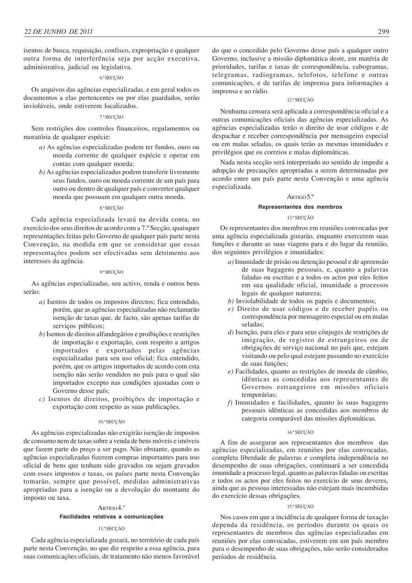isentos de busca, requisição, confisco, expropriação e qualquer outra forma de interferência seja por acção executiva, administrativa, judicial ou legislativa.

#### 6.ª SECÇÃO

Os arquivos das agências especializadas, e em geral todos os documentos a elas pertencentes ou por elas guardados, serão invioláveis, onde estiverem localizados.

# 7.ª SECÇÃO

Sem restrições dos controles financeiros, regulamentos ou moratória de qualquer espécie:

- *a)* As agências especializadas podem ter fundos, ouro ou moeda corrente de qualquer espécie e operar em contas com qualquer moeda;
- *b)* As agências especializadas podem transferir livremente seus fundos, ouro ou moeda corrente de um país para outro ou dentro de qualquer país e converter qualquer moeda que possuam em qualquer outra moeda.

# 8.ª SECÇÃO

Cada agência especializada levará na devida conta, no exercício dos seus direitos de acordo com a 7.º Secção, quaisquer representações feitas pelo Governo de qualquer país parte nesta Convenção, na medida em que se considerar que essas representações podem ser efectivadas sem detrimento aos interesses da agência.

#### 9.ª SECÇÃO

As agências especializadas, seu activo, renda e outros bens serão:

- *a)* Isentos de todos os impostos directos; fica entendido, porém, que as agências especializadas não reclamarão isenção de taxas que, de facto, são apenas tarifas de serviços públicos;
- *b)* Isentos de direitos alfandegários e proibições e restrições de importação e exportação, com respeito a artigos importados e exportados pelas agências especializadas para seu uso oficial; fica entendido, porém, que os artigos importados de acordo com esta isenção não serão vendidos no país para o qual são importados excepto nas condições ajustadas com o Governo desse país;
- *c)* Isentos de direitos, proibições de importação e exportação com respeito as suas publicações.

#### 10.ª SECÇÃO

As agências especializadas não exigirão isenção de impostos de consumo nem de taxas sobre a venda de bens móveis e imóveis que fazem parte do preço a ser pago. Não obstante, quando as agências especializadas fizerem compras importantes para uso oficial de bens que tenham sido gravados ou sejam gravados com esses impostos e taxas, os países parte nesta Convenção tomarão, sempre que possível, medidas administrativas apropriadas para a isenção ou a devolução do montante do imposto ou taxa.

#### ARTIGO<sub>4.</sub><sup>o</sup>

#### **Facilidades relativas a comunicações**

#### 11.ª SECÇÃO

Cada agência especializada gozará, no território de cada país parte nesta Convenção, no que diz respeito a essa agência, para suas comunicações oficiais, de tratamento não menos favorável do que o concedido pelo Governo desse país a qualquer outro Governo, inclusive a missão diplomática deste, em matéria de prioridades, tarifas e taxas de correspondência, cabogramas, telegramas, radiogramas, telefotos, telefone e outras comunicações, e de tarifas de imprensa para informações a imprensa e ao rádio.

#### 12.ª SECÇÃO

Nenhuma censura será aplicada a correspondência oficial e a outras comunicações oficiais das agências especializadas. As agências especializadas terão o direito de usar códigos e de despachar e receber correspondência por mensageiro especial ou em malas seladas, os quais terão as mesmas imunidades e privilégios que os correios e malas diplomáticas.

Nada nesta secção será interpretado no sentido de impedir a adopção de precauções apropriadas a serem determinadas por acordo entre um país parte nesta Convenção e uma agência especializada.

# ARTIGO<sup>5.º</sup>

# **Representantes dos membros**

#### 13.ª SECÇÃO

Os representantes dos membros em reuniões convocadas por uma agência especializada gozarão, enquanto exercerem suas funções e durante as suas viagens para e do lugar da reunião, dos seguintes privilégios e imunidades:

- *a)* Imunidade de prisão ou detenção pessoal e de apreensão de suas bagagens pessoais, e, quanto a palavras faladas ou escritas e a todos os actos por eles feitos em sua qualidade oficial, imunidade a processos legais de qualquer natureza;
- *b)* Inviolabilidade de todos os papeis e documentos;
- *e)* Direito de usar códigos e de receber papéis ou correspondência por mensageiro especial ou em malas seladas;
- *d)* Isenção, para eles e para seus cônjuges de restrições de imigração, de registro de estrangeiros ou de obrigações de serviço nacional no país que, estejam visitando ou pelo qual estejam passando no exercício de suas funções;
- *e)* Facilidades, quanto as restrições de moeda de câmbio, idênticas as concedidas aos representantes de Governos estrangeiros em missões oficiais temporárias;
- *f)* Imunidades e facilidades, quanto às suas bagagens pessoais idênticas as concedidas aos membros de categoria comparável das missões diplomáticas.

## 14.ª SECÇÃO

A fim de assegurar aos representantes dos membros das agências especializadas, em reuniões por elas convocadas, completa liberdade de palavras e completa independência no desempenho de suas obrigações, continuará a ser concedida imunidade a processo legal, quanto as palavras faladas ou escritas e todos os actos por eles feitos no exercício de seus deveres, ainda que as pessoas interessadas não estejam mais incumbidas do exercício dessas obrigações.

#### 15.ª SECÇÃO

Nos casos em que a incidência de qualquer forma de taxação dependa da residência, os períodos durante os quais os representantes de membros das agências especializadas em reuniões por elas convocadas, estiverem em um país membro para o desempenho de suas obrigações, não serão considerados períodos de residência.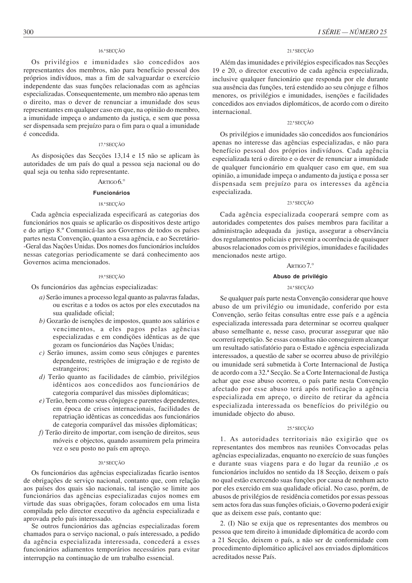# 16.ª SECÇÃO

Os privilégios e imunidades são concedidos aos representantes dos membros, não para beneficio pessoal dos próprios indivíduos, mas a fim de salvaguardar o exercício independente das suas funções relacionadas com as agências especializadas. Consequentemente, um membro não apenas tem o direito, mas o dever de renunciar a imunidade dos seus representantes em qualquer caso em que, na opinião do membro, a imunidade impeça o andamento da justiça, e sem que possa ser dispensada sem prejuízo para o fim para o qual a imunidade é concedida.

# 17.ª SECÇÃO

As disposições das Secções 13,14 e 15 não se aplicam às autoridades de um país do qual a pessoa seja nacional ou do qual seja ou tenha sido representante.

# ARTIGO<sub>6.</sub><sup>c</sup>

# **Funcionários**

# 18.ª SECÇÃO

Cada agência especializada especificará as categorias dos funcionários nos quais se aplicarão os dispositivos deste artigo e do artigo 8.º Comunicá-las aos Governos de todos os países partes nesta Convenção, quanto a essa agência, e ao Secretário- -Geral das Nações Unidas. Dos nomes dos funcionários incluídos nessas categorias periodicamente se dará conhecimento aos Governos acima mencionados.

# 19.ª SECÇÃO

Os funcionários das agências especializadas:

- *a)* Serão imunes a processo legal quanto as palavras faladas, ou escritas e a todos os actos por eles executados na sua qualidade oficial;
- *b)* Gozarão de isenções de impostos, quanto aos salários e vencimentos, a eles pagos pelas agências especializadas e em condições idênticas as de que gozam os funcionários das Nações Unidas;
- *c)* Serão imunes, assim como seus cônjuges e parentes dependente, restrições de imigração e de registo de estrangeiros;
- *d)* Terão quanto as facilidades de câmbio, privilégios idênticos aos concedidos aos funcionários de categoria comparável das missões diplomáticas;
- *e)* Terão, bem como seus cônjuges e parentes dependentes, em época de crises internacionais, facilidades de repatriação idênticas as concedidas aos funcionários de categoria comparável das missões diplomáticas;
- *f)* Terão direito de importar, com isenção de direitos, seus móveis e objectos, quando assumirem pela primeira vez o seu posto no país em apreço.

#### 20.ª SECÇÃO

Os funcionários das agências especializadas ficarão isentos de obrigações de serviço nacional, contanto que, com relação aos países dos quais são nacionais, tal isenção se limite aos funcionários das agências especializadas cujos nomes em virtude das suas obrigações, foram colocados em uma lista compilada pelo director executivo da agência especializada e aprovada pelo país interessado.

Se outros funcionários das agências especializadas forem chamados para o serviço nacional, o país interessado, a pedido da agência especializada interessada, concederá a esses funcionários adiamentos temporários necessários para evitar interrupção na continuação de um trabalho essencial.

#### 21.ª SECÇÃO

Além das imunidades e privilégios especificados nas Secções 19 e 20, o director executivo de cada agência especializada, inclusive qualquer funcionário que responda por ele durante sua ausência das funções, terá estendido ao seu cônjuge e filhos menores, os privilégios e imunidades, isenções e facilidades concedidos aos enviados diplomáticos, de acordo com o direito internacional.

# 22.ª SECÇÃO

Os privilégios e imunidades são concedidos aos funcionários apenas no interesse das agências especializadas, e não para benefício pessoal dos próprios indivíduos*.* Cada agência especializada terá o direito e o dever de renunciar a imunidade de qualquer funcionário em qualquer caso em que, em sua opinião, a imunidade impeça o andamento da justiça e possa ser dispensada sem prejuízo para os interesses da agência especializada.

# 23.ª SECÇÃO

Cada agência especializada cooperará sempre com as autoridades competentes dos países membros para facilitar a administração adequada da justiça, assegurar a observância dos regulamentos policiais e prevenir a ocorrência de quaisquer abusos relacionados com os privilégios, imunidades e facilidades mencionados neste artigo.

#### ARTIGO 7.º

# **Abuso de privilégio**

### 24.ª SECÇÃO

Se qualquer país parte nesta Convenção considerar que houve abuso de um privilégio ou imunidade, conferido por esta Convenção, serão feitas consultas entre esse país e a agência especializada interessada para determinar se ocorreu qualquer abuso semelhante e, nesse caso, procurar assegurar que não ocorrerá repetição. Se essas consultas não conseguirem alcançar um resultado satisfatório para o Estado e agência especializada interessados, a questão de saber se ocorreu abuso de privilégio ou imunidade será submetida à Corte Internacional de Justiça de acordo com a 32.ª Secção. Se a Corte Internacional de Justiça achar que esse abuso ocorreu, o país parte nesta Convenção afectado por esse abuso terá após notificação a agência especializada em apreço, o direito de retirar da agência especializada interessada os benefícios do privilégio ou imunidade objecto do abuso.

#### 25.ª SECÇÃO

1. As autoridades territoriais não exigirão que os representantes dos membros nas reuniões Convocadas pelas agências especializadas, enquanto no exercício de suas funções e durante suas viagens para e do lugar da reunião ,e os funcionários incluídos no sentido da 18 Secção, deixem o país no qual estão exercendo suas funções por causa de nenhum acto por eles exercido em sua qualidade oficial. No caso, porém, de abusos de privilégios de residência cometidos por essas pessoas sem actos fora das suas funções oficiais, o Governo poderá exigir que as deixem esse país, contanto que:

2. (I) Não se exija que os representantes dos membros ou pessoa que tem direito à imunidade diplomática de acordo com a 21 Secção, deixem o país, a não ser de conformidade com procedimento diplomático aplicável aos enviados diplomáticos acreditados nesse País.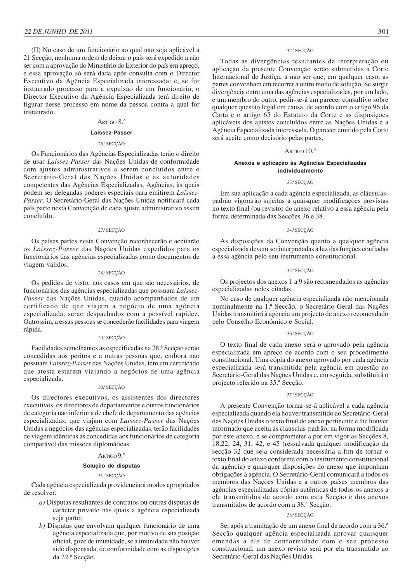(II) No caso de um funcionário ao qual não seja aplicável a 21 Secção, nenhuma ordem de deixar o país será expedido a não ser com a aprovação do Ministério do Exterior do país em apreço, e essa aprovação só será dada após consulta com o Director Executivo da Agência Especializada interessada: e, se for instaurado processo para a expulsão de um funcionário, o Director Executivo da Agência Especializada terá direito de figurar nesse processo em nome da pessoa contra a qual for instaurado.

## ARTIGO 8.°

# **Laissez-Passer**

# 26.ª SECÇÃO

Os Funcionários das Agências Especializadas terão o direito de usar *Laissez-Passer* das Nações Unidas de conformidade com ajustes administrativos a serem concluídos entre o Secretário-Geral das Nações Unidas e as autoridades competentes das Agências Especializadas, Agências, às quais podem ser delegadas poderes especiais para emitirem *Laissez-Passer*. O Secretário-Geral das Nações Unidas notificará cada país parte nesta Convenção de cada ajuste administrativo assim concluído.

#### 27.ª SECÇÃO

Os países partes nesta Convenção reconhecerão e aceitarão os *Laissez-Passer* das Nações Unidas expedidos para os funcionários das agências especializadas como documentos de viagem válidos.

#### 28.ª SECÇÃO

Os pedidos de visto, nos casos em que são necessários, de funcionários das agências especializadas que possuam *Laissez-Passer* das Nações Unidas, quando acompanhados de um certificado de que viajam a negócio de uma agência especializada, serão despachados com a possível rapidez. Outrossim, a essas pessoas se concederão facilidades para viagem rápida.

## 29.ª SECÇÃO

Facilidades semelhantes às especificadas na 28.ª Secção serão concedidas aos peritos e a outras pessoas que, embora não possuam *Laissez-Passer* das Nações Unidas, tem um certificado que atesta estarem viajando a negócios de uma agência especializada.

#### 30.ª SECÇÃO

Os directores executivos, os assistentes dos directores executivos, os directores de departamentos e outros funcionários de categoria não inferior a de chefe de departamento das agências especializadas, que viajam com *Laissez-Passer* das Nações Unidas a negócios das agências especializadas, terão facilidades de viagem idênticas as concedidas aos funcionários de categoria comparável das missões diplomáticas.

#### ARTIGO<sup>9.º</sup>

#### **Solução de disputas**

#### 31.ª SECÇÃO

Cada agência especializada providenciará modos apropriados de resolver:

- *a)* Disputas resultantes de contratos ou outras disputas de carácter privado nas quais a agência especializada seja parte;
- *b)* Disputas que envolvam qualquer funcionário de uma agência especializada que, por motivo de sua posição oficial, goze de imunidade, se a imunidade não houver sido dispensada, de conformidade com as disposições da 22.ª Secção.

#### 32.ª SECÇÃO

Todas as divergências resultantes da interpretação ou aplicação da presente Convenção serão submetidas a Corte Internacional de Justiça, a não ser que, em qualquer caso, as partes convenham em recorrer a outro modo de solução. Se surgir divergência entre uma das agências especializadas, por um lado, e um membro do outro, pedir-se-á um parecer consultivo sobre qualquer questão legal em causa, de acordo com o artigo 96 da Carta e o artigo 65 do Estatuto da Corte e as disposições aplicáveis dos ajustes concluídos entre as Nações Unidas e a Agência Especializada interessada. O parecer emitido pela Corte será aceite como decisório pelas partes.

#### ARTIGO 10.°

# **Anexos e aplicação às Agências Especializadas individualmente**

#### 33.ª SECÇÃO

Em sua aplicação a cada agência especializada, as cláusulaspadrão vigorarão sujeitas a quaisquer modificações previstas no texto final (ou revisto) do anexo relativo a essa agência pela forma determinada das Secções 36 e 38.

#### 34.ª SECÇÃO

As disposições da Convenção quanto a qualquer agência especializada devem ser interpretadas à luz das funções confiadas a essa agência pelo seu instrumento constitucional.

#### 35.ª SECÇÃO

Os projectos dos anexos 1 a 9 são recomendados as agências especializadas neles citadas.

No caso de qualquer agência especializada não mencionada nominalmente na 1.ª Secção, o Secretário-Geral das Nações Unidas transmitirá à agência um projecto de anexo recomendado pelo Conselho Económico e Social.

#### 36.ª SECÇÃO

O texto final de cada anexo será o aprovado pela agência especializada em apreço de acordo com o seu procedimento constitucional. Uma cópia do anexo aprovado por cada agência especializada será transmitida pela agência em questão ao Secretário-Geral das Nações Unidas e, em seguida, substituirá o projecto referido na 35.ª Secção.

#### 37.ª SECÇÃO

A presente Convenção tornar-se-á aplicável a cada agência especializada quando ela houver transmitido ao Secretário-Geral das Nações Unidas o texto final do anexo pertinente e lhe houver informado que aceita as cláusulas-padrão, na forma modificada por este anexo, e se comprometer a por em vigor as Secções 8, 18,22, 24, 31, 42, e 45 (ressalvada qualquer modificação da secção 32 que seja considerada necessária a fim de tornar o texto final do anexo conforme com o instrumento constitucional da agência) e quaisquer disposições do anexo que imponham obrigações à agência. O Secretário-Geral comunicará a todos os membros das Nações Unidas e a outros países membros das agências especializadas cópias autênticas de todos os anexos a ele transmitidos de acordo com esta Secção e dos anexos transmitidos de acordo com a 38.ª Secção.

#### 38.ª SECÇÃO

Se, após a tramitação de um anexo final de acordo com a 36.ª Secção qualquer agência especializada aprovar quaisquer emendas a ele de conformidade com o seu processo constitucional, um anexo revisto será por ela transmitido ao Secretário-Geral das Nações Unidas.